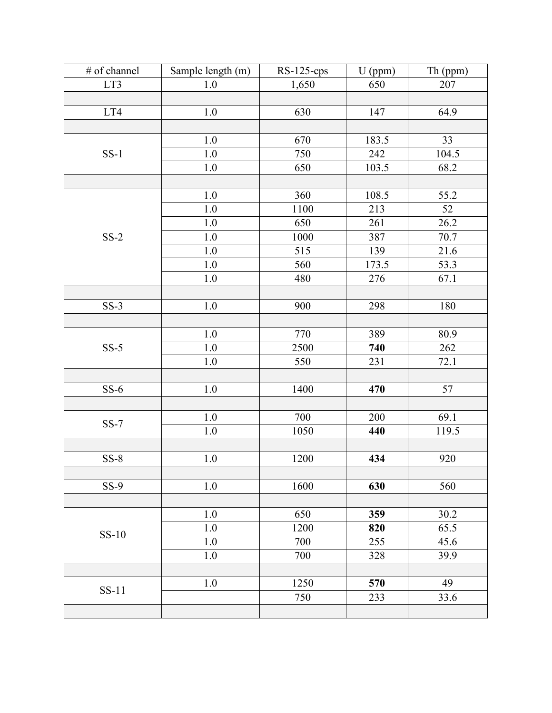| # of channel | Sample length (m) | $RS-125-cps$ | U (ppm) | Th (ppm) |
|--------------|-------------------|--------------|---------|----------|
| LT3          | 1.0               | 1,650        | 650     | 207      |
|              |                   |              |         |          |
| LT4          | $1.0$             | 630          | 147     | 64.9     |
|              |                   |              |         |          |
|              | 1.0               | 670          | 183.5   | 33       |
| $SS-1$       | $1.0\,$           | 750          | 242     | 104.5    |
|              | $1.0\,$           | 650          | 103.5   | 68.2     |
|              |                   |              |         |          |
|              | $1.0\,$           | 360          | 108.5   | 55.2     |
|              | $1.0\,$           | 1100         | 213     | 52       |
|              | $1.0\,$           | 650          | 261     | 26.2     |
| $SS-2$       | 1.0               | 1000         | 387     | 70.7     |
|              | $1.0\,$           | 515          | 139     | 21.6     |
|              | 1.0               | 560          | 173.5   | 53.3     |
|              | $1.0\,$           | 480          | 276     | 67.1     |
|              |                   |              |         |          |
| $SS-3$       | $1.0\,$           | 900          | 298     | 180      |
|              |                   |              |         |          |
|              | 1.0               | 770          | 389     | 80.9     |
| $SS-5$       | $1.0\,$           | 2500         | 740     | 262      |
|              | $1.0\,$           | 550          | 231     | 72.1     |
|              |                   |              |         |          |
| $SS-6$       | 1.0               | 1400         | 470     | 57       |
|              |                   |              |         |          |
|              | $1.0$             | 700          | 200     | 69.1     |
| $SS-7$       | $1.0\,$           | 1050         | 440     | 119.5    |
|              |                   |              |         |          |
| $SS-8$       | $1.0\,$           | 1200         | 434     | 920      |
|              |                   |              |         |          |
| $SS-9$       | $1.0\,$           | 1600         | 630     | 560      |
|              |                   |              |         |          |
|              | 1.0               | 650          | 359     | 30.2     |
|              | 1.0               | 1200         | 820     | 65.5     |
| $SS-10$      | 1.0               | 700          | 255     | 45.6     |
|              | 1.0               | 700          | 328     | 39.9     |
|              |                   |              |         |          |
| $SS-11$      | $1.0$             | 1250         | 570     | 49       |
|              |                   | 750          | 233     | 33.6     |
|              |                   |              |         |          |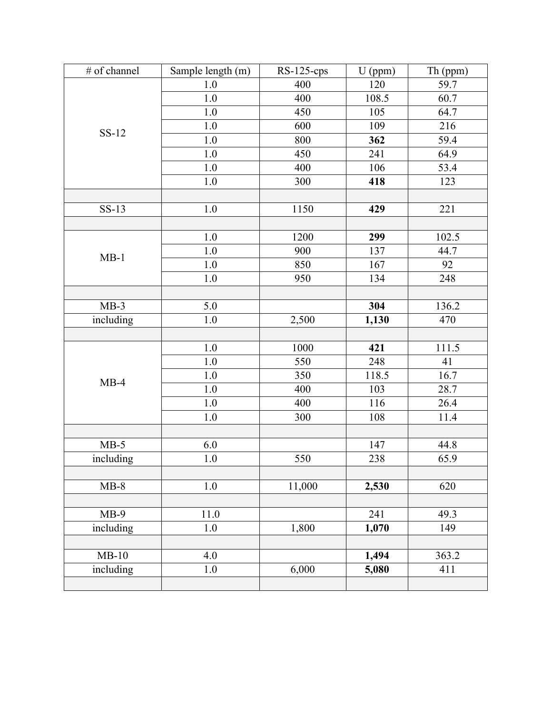| # of channel | Sample length (m) | $RS-125-cps$ | $U$ (ppm) | Th (ppm) |
|--------------|-------------------|--------------|-----------|----------|
| $SS-12$      | 1.0               | 400          | 120       | 59.7     |
|              | $1.0\,$           | 400          | 108.5     | 60.7     |
|              | $1.0\,$           | 450          | 105       | 64.7     |
|              | $1.0\,$           | 600          | 109       | 216      |
|              | $1.0\,$           | 800          | 362       | 59.4     |
|              | 1.0               | 450          | 241       | 64.9     |
|              | 1.0               | 400          | 106       | 53.4     |
|              | $1.0\,$           | 300          | 418       | 123      |
|              |                   |              |           |          |
| $SS-13$      | $1.0$             | 1150         | 429       | 221      |
|              |                   |              |           |          |
|              | 1.0               | 1200         | 299       | 102.5    |
| $MB-1$       | 1.0               | 900          | 137       | 44.7     |
|              | 1.0               | 850          | 167       | 92       |
|              | 1.0               | 950          | 134       | 248      |
|              |                   |              |           |          |
| $MB-3$       | 5.0               |              | 304       | 136.2    |
| including    | $1.0\,$           | 2,500        | 1,130     | 470      |
|              |                   |              |           |          |
|              | 1.0               | 1000         | 421       | 111.5    |
|              | 1.0               | 550          | 248       | 41       |
|              | $1.0\,$           | 350          | 118.5     | 16.7     |
| $MB-4$       | 1.0               | 400          | 103       | 28.7     |
|              | 1.0               | 400          | 116       | 26.4     |
|              | $1.0\,$           | 300          | 108       | $11.4\,$ |
|              |                   |              |           |          |
| $MB-5$       | 6.0               |              | 147       | 44.8     |
| including    | $1.0\,$           | 550          | 238       | 65.9     |
|              |                   |              |           |          |
| $MB-8$       | $1.0\,$           | 11,000       | 2,530     | 620      |
|              |                   |              |           |          |
| $MB-9$       | 11.0              |              | 241       | 49.3     |
| including    | $1.0\,$           | 1,800        | 1,070     | 149      |
|              |                   |              |           |          |
| $MB-10$      | 4.0               |              | 1,494     | 363.2    |
| including    | $1.0\,$           | 6,000        | 5,080     | 411      |
|              |                   |              |           |          |